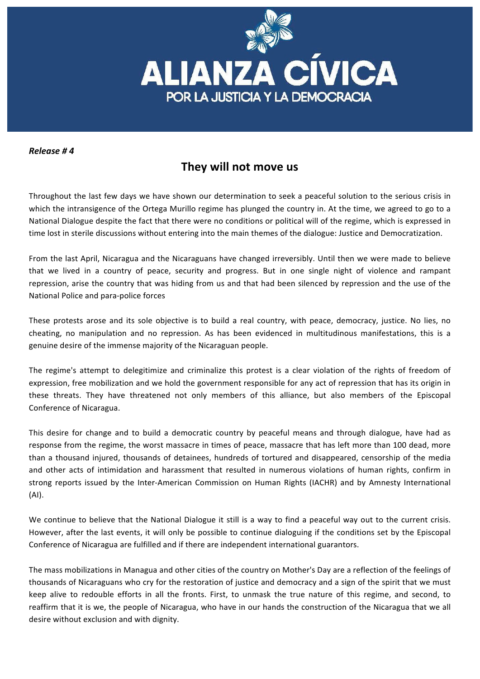

## *Release # 4*

## They will not move us

Throughout the last few days we have shown our determination to seek a peaceful solution to the serious crisis in which the intransigence of the Ortega Murillo regime has plunged the country in. At the time, we agreed to go to a National Dialogue despite the fact that there were no conditions or political will of the regime, which is expressed in time lost in sterile discussions without entering into the main themes of the dialogue: Justice and Democratization.

From the last April, Nicaragua and the Nicaraguans have changed irreversibly. Until then we were made to believe that we lived in a country of peace, security and progress. But in one single night of violence and rampant repression, arise the country that was hiding from us and that had been silenced by repression and the use of the National Police and para-police forces

These protests arose and its sole objective is to build a real country, with peace, democracy, justice. No lies, no cheating, no manipulation and no repression. As has been evidenced in multitudinous manifestations, this is a genuine desire of the immense majority of the Nicaraguan people.

The regime's attempt to delegitimize and criminalize this protest is a clear violation of the rights of freedom of expression, free mobilization and we hold the government responsible for any act of repression that has its origin in these threats. They have threatened not only members of this alliance, but also members of the Episcopal Conference of Nicaragua.

This desire for change and to build a democratic country by peaceful means and through dialogue, have had as response from the regime, the worst massacre in times of peace, massacre that has left more than 100 dead, more than a thousand injured, thousands of detainees, hundreds of tortured and disappeared, censorship of the media and other acts of intimidation and harassment that resulted in numerous violations of human rights, confirm in strong reports issued by the Inter-American Commission on Human Rights (IACHR) and by Amnesty International (AI).

We continue to believe that the National Dialogue it still is a way to find a peaceful way out to the current crisis. However, after the last events, it will only be possible to continue dialoguing if the conditions set by the Episcopal Conference of Nicaragua are fulfilled and if there are independent international guarantors.

The mass mobilizations in Managua and other cities of the country on Mother's Day are a reflection of the feelings of thousands of Nicaraguans who cry for the restoration of justice and democracy and a sign of the spirit that we must keep alive to redouble efforts in all the fronts. First, to unmask the true nature of this regime, and second, to reaffirm that it is we, the people of Nicaragua, who have in our hands the construction of the Nicaragua that we all desire without exclusion and with dignity.